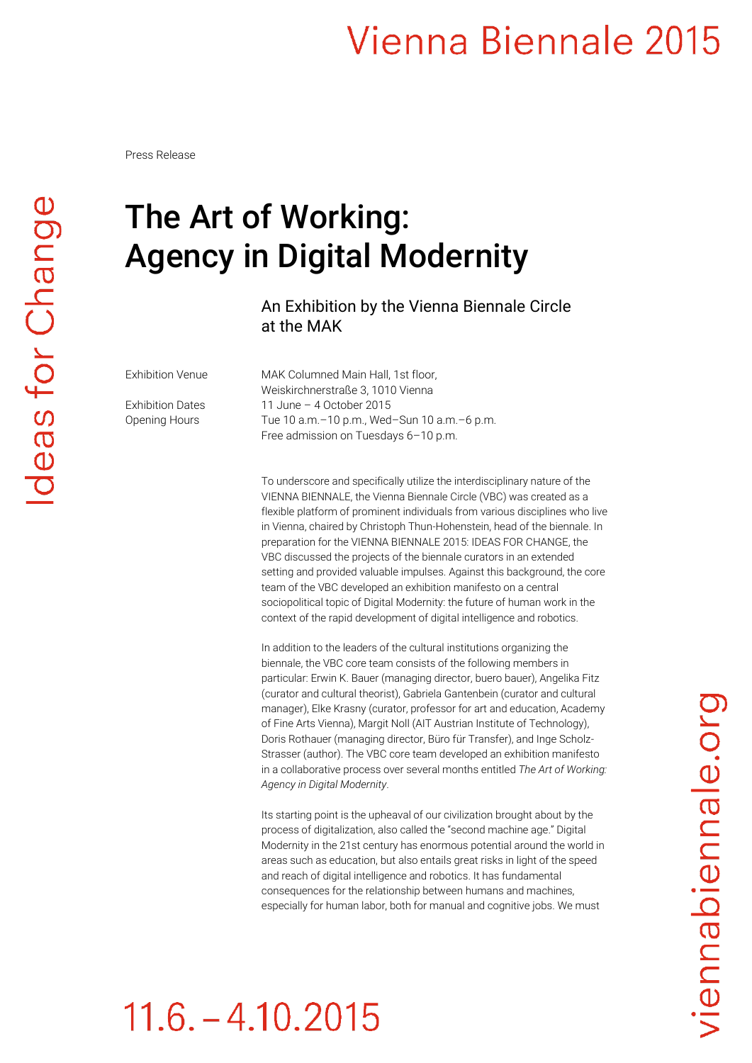#### Vienna Biennale 2015

Press Release

#### The Art of Working: Agency in Digital Modernity

#### An Exhibition by the Vienna Biennale Circle at the MAK

Exhibition Venue MAK Columned Main Hall, 1st floor, Weiskirchnerstraße 3, 1010 Vienna Exhibition Dates 11 June – 4 October 2015 Opening Hours Tue 10 a.m.–10 p.m., Wed–Sun 10 a.m.–6 p.m. Free admission on Tuesdays 6–10 p.m.

> To underscore and specifically utilize the interdisciplinary nature of the VIENNA BIENNALE, the Vienna Biennale Circle (VBC) was created as a flexible platform of prominent individuals from various disciplines who live in Vienna, chaired by Christoph Thun-Hohenstein, head of the biennale. In preparation for the VIENNA BIENNALE 2015: IDEAS FOR CHANGE, the VBC discussed the projects of the biennale curators in an extended setting and provided valuable impulses. Against this background, the core team of the VBC developed an exhibition manifesto on a central sociopolitical topic of Digital Modernity: the future of human work in the context of the rapid development of digital intelligence and robotics.

> In addition to the leaders of the cultural institutions organizing the biennale, the VBC core team consists of the following members in particular: Erwin K. Bauer (managing director, buero bauer), Angelika Fitz (curator and cultural theorist), Gabriela Gantenbein (curator and cultural manager), Elke Krasny (curator, professor for art and education, Academy of Fine Arts Vienna), Margit Noll (AIT Austrian Institute of Technology), Doris Rothauer (managing director, Büro für Transfer), and Inge Scholz-Strasser (author). The VBC core team developed an exhibition manifesto in a collaborative process over several months entitled *The Art of Working: Agency in Digital Modernity*.

> Its starting point is the upheaval of our civilization brought about by the process of digitalization, also called the "second machine age." Digital Modernity in the 21st century has enormous potential around the world in areas such as education, but also entails great risks in light of the speed and reach of digital intelligence and robotics. It has fundamental consequences for the relationship between humans and machines, especially for human labor, both for manual and cognitive jobs. We must

## $11.6 - 4.10.2015$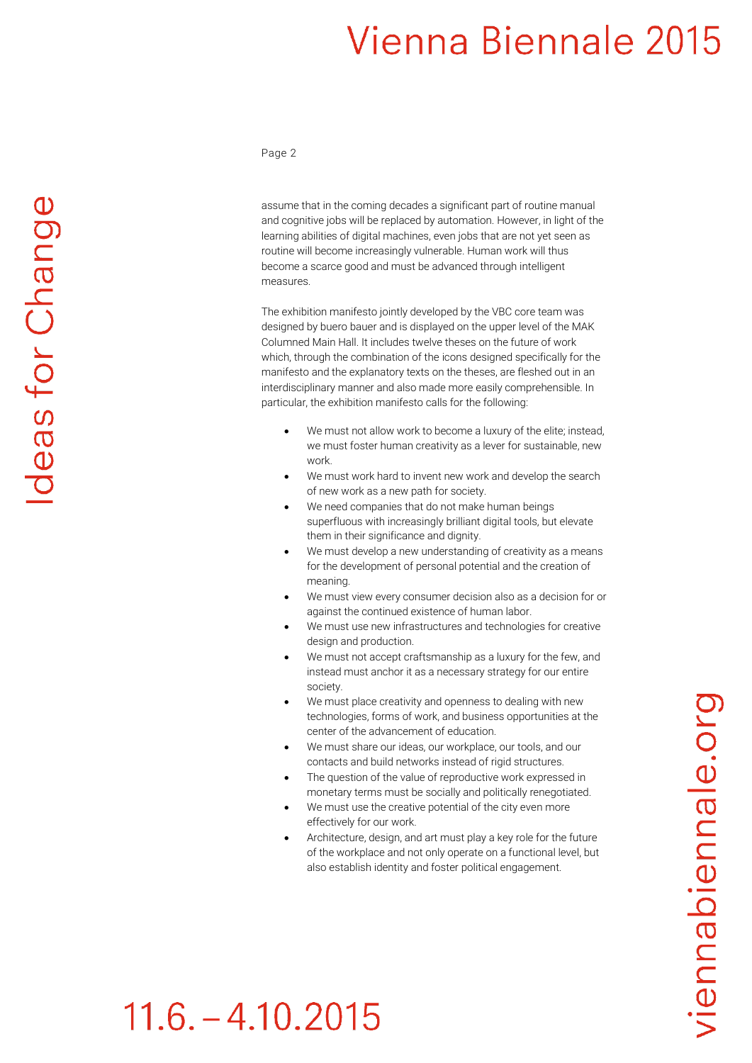### Vienna Biennale 2015

Page 2

assume that in the coming decades a significant part of routine manual and cognitive jobs will be replaced by automation. However, in light of the learning abilities of digital machines, even jobs that are not yet seen as routine will become increasingly vulnerable. Human work will thus become a scarce good and must be advanced through intelligent measures.

The exhibition manifesto jointly developed by the VBC core team was designed by buero bauer and is displayed on the upper level of the MAK Columned Main Hall. It includes twelve theses on the future of work which, through the combination of the icons designed specifically for the manifesto and the explanatory texts on the theses, are fleshed out in an interdisciplinary manner and also made more easily comprehensible. In particular, the exhibition manifesto calls for the following:

- We must not allow work to become a luxury of the elite; instead, we must foster human creativity as a lever for sustainable, new work.
- We must work hard to invent new work and develop the search of new work as a new path for society.
- We need companies that do not make human beings superfluous with increasingly brilliant digital tools, but elevate them in their significance and dignity.
- We must develop a new understanding of creativity as a means for the development of personal potential and the creation of meaning.
- We must view every consumer decision also as a decision for or against the continued existence of human labor.
- We must use new infrastructures and technologies for creative design and production.
- We must not accept craftsmanship as a luxury for the few, and instead must anchor it as a necessary strategy for our entire society.
- We must place creativity and openness to dealing with new technologies, forms of work, and business opportunities at the center of the advancement of education.
- We must share our ideas, our workplace, our tools, and our contacts and build networks instead of rigid structures.
- The question of the value of reproductive work expressed in monetary terms must be socially and politically renegotiated.
- We must use the creative potential of the city even more effectively for our work.
- Architecture, design, and art must play a key role for the future of the workplace and not only operate on a functional level, but also establish identity and foster political engagement.

# $11.6 - 4.10.2015$